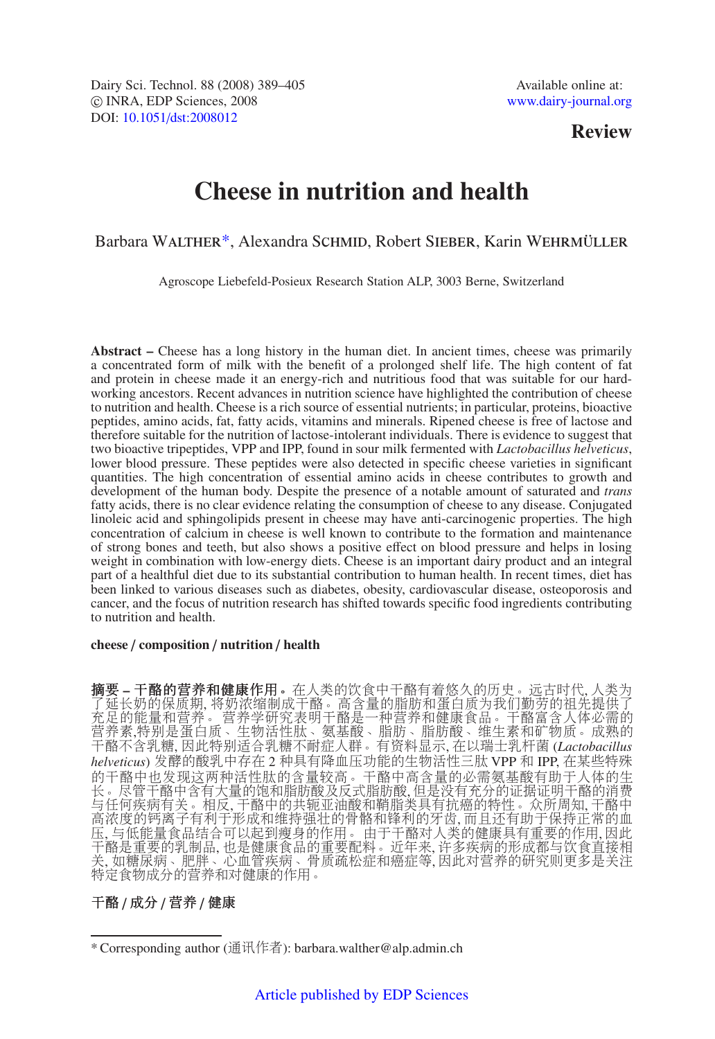# **Review**

# **Cheese in nutrition and health**

# Barbara WALTHER\*, Alexandra SCHMID, Robert SIEBER, Karin WEHRMÜLLER

Agroscope Liebefeld-Posieux Research Station ALP, 3003 Berne, Switzerland

**Abstract –** Cheese has a long history in the human diet. In ancient times, cheese was primarily a concentrated form of milk with the benefit of a prolonged shelf life. The high content of fat and protein in cheese made it an energy-rich and nutritious food that was suitable for our hardworking ancestors. Recent advances in nutrition science have highlighted the contribution of cheese to nutrition and health. Cheese is a rich source of essential nutrients; in particular, proteins, bioactive peptides, amino acids, fat, fatty acids, vitamins and minerals. Ripened cheese is free of lactose and therefore suitable for the nutrition of lactose-intolerant individuals. There is evidence to suggest that two bioactive tripeptides, VPP and IPP, found in sour milk fermented with *Lactobacillus helveticus*, lower blood pressure. These peptides were also detected in specific cheese varieties in significant quantities. The high concentration of essential amino acids in cheese contributes to growth and development of the human body. Despite the presence of a notable amount of saturated and *trans* fatty acids, there is no clear evidence relating the consumption of cheese to any disease. Conjugated linoleic acid and sphingolipids present in cheese may have anti-carcinogenic properties. The high concentration of calcium in cheese is well known to contribute to the formation and maintenance of strong bones and teeth, but also shows a positive effect on blood pressure and helps in losing weight in combination with low-energy diets. Cheese is an important dairy product and an integral part of a healthful diet due to its substantial contribution to human health. In recent times, diet has been linked to various diseases such as diabetes, obesity, cardiovascular disease, osteoporosis and cancer, and the focus of nutrition research has shifted towards specific food ingredients contributing to nutrition and health.

# **cheese** / **composition** / **nutrition** / **health**

摘要 **–** 干酪的营养和健康作用。在人类的饮食中干酪有着悠久的历史。远古时代, 人类为 了延长奶的保质期, 将奶浓缩制成干酪。高含量的脂肪和蛋白质为我们勤劳的祖先提供了 充足的能量和营养。 营养学研究表明干酪是一种营养和健康食品。干酪富含人体必需的 营养素,特别是蛋白质、生物活性肽、氨基酸、脂肪、脂肪酸、维生素和矿物质。成熟的 干酪不含乳糖, 因此特别适合乳糖不耐症人群。有资料显示, 在以瑞士乳杆菌 (*Lactobacillus helveticus*) 发酵的酸乳中存在 2 种具有降血压功能的生物活性三肽 VPP 和 IPP, 在某些特殊 的干酪中也发现这两种活性肽的含量较高。干酪中高含量的必需氨基酸有助于人体的生 长。尽管干酪中含有大量的饱和脂肪酸及反式脂肪酸, 但是没有充分的证据证明干酪的消费 与任何疾病有关。相反, 干酪中的共轭亚油酸和鞘脂类具有抗癌的特性。众所周知, 干酪中 高浓度的钙离子有利于形成和维持强壮的骨骼和锋利的牙齿, 而且还有助于保持正常的血 压, 与低能量食品结合可以起到瘦身的作用。 由于干酪对人类的健康具有重要的作用, 因此 干酪是重要的乳制品, 也是健康食品的重要配料。近年来, 许多疾病的形成都与饮食直接相 关, 如糖尿病、肥胖、心血管疾病、骨质疏松症和癌症等, 因此对营养的研究则更多是关注 特定食物成分的营养和对健康的作用。

# 干酪 / 成分 / 营养 / 健康

<sup>\*</sup> Corresponding author (通讯作者): barbara.walther@alp.admin.ch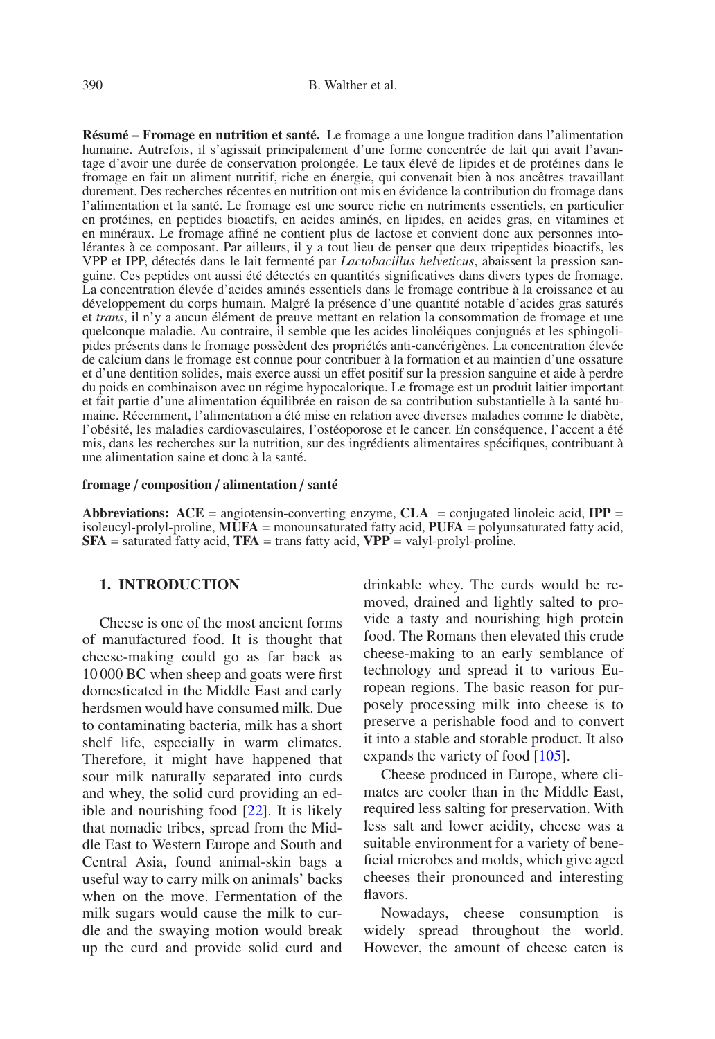# 390 B. Walther et al.

**Résumé – Fromage en nutrition et santé.** Le fromage a une longue tradition dans l'alimentation humaine. Autrefois, il s'agissait principalement d'une forme concentrée de lait qui avait l'avantage d'avoir une durée de conservation prolongée. Le taux élevé de lipides et de protéines dans le fromage en fait un aliment nutritif, riche en énergie, qui convenait bien à nos ancêtres travaillant durement. Des recherches récentes en nutrition ont mis en évidence la contribution du fromage dans l'alimentation et la santé. Le fromage est une source riche en nutriments essentiels, en particulier en protéines, en peptides bioactifs, en acides aminés, en lipides, en acides gras, en vitamines et en minéraux. Le fromage affiné ne contient plus de lactose et convient donc aux personnes intolérantes à ce composant. Par ailleurs, il y a tout lieu de penser que deux tripeptides bioactifs, les VPP et IPP, détectés dans le lait fermenté par *Lactobacillus helveticus*, abaissent la pression sanguine. Ces peptides ont aussi été détectés en quantités significatives dans divers types de fromage. La concentration élevée d'acides aminés essentiels dans le fromage contribue à la croissance et au développement du corps humain. Malgré la présence d'une quantité notable d'acides gras saturés et *trans*, il n'y a aucun élément de preuve mettant en relation la consommation de fromage et une quelconque maladie. Au contraire, il semble que les acides linoléiques conjugués et les sphingolipides présents dans le fromage possèdent des propriétés anti-cancérigènes. La concentration élevée de calcium dans le fromage est connue pour contribuer à la formation et au maintien d'une ossature et d'une dentition solides, mais exerce aussi un effet positif sur la pression sanguine et aide à perdre du poids en combinaison avec un régime hypocalorique. Le fromage est un produit laitier important et fait partie d'une alimentation équilibrée en raison de sa contribution substantielle à la santé humaine. Récemment, l'alimentation a été mise en relation avec diverses maladies comme le diabète, l'obésité, les maladies cardiovasculaires, l'ostéoporose et le cancer. En conséquence, l'accent a été mis, dans les recherches sur la nutrition, sur des ingrédients alimentaires spécifiques, contribuant à une alimentation saine et donc à la santé.

#### **fromage** / **composition** / **alimentation** / **santé**

**Abbreviations:**  $ACE = angiotensin-converting enzyme, CLA = conjugated linoleic acid, **IPP** =$ isoleucyl-prolyl-proline, **MUFA** = monounsaturated fatty acid, **PUFA** = polyunsaturated fatty acid,  $$ 

# **1. INTRODUCTION**

Cheese is one of the most ancient forms of manufactured food. It is thought that cheese-making could go as far back as 10 000 BC when sheep and goats were first domesticated in the Middle East and early herdsmen would have consumed milk. Due to contaminating bacteria, milk has a short shelf life, especially in warm climates. Therefore, it might have happened that sour milk naturally separated into curds and whey, the solid curd providing an edible and nourishing food [\[22\]](#page-12-0). It is likely that nomadic tribes, spread from the Middle East to Western Europe and South and Central Asia, found animal-skin bags a useful way to carry milk on animals' backs when on the move. Fermentation of the milk sugars would cause the milk to curdle and the swaying motion would break up the curd and provide solid curd and drinkable whey. The curds would be removed, drained and lightly salted to provide a tasty and nourishing high protein food. The Romans then elevated this crude cheese-making to an early semblance of technology and spread it to various European regions. The basic reason for purposely processing milk into cheese is to preserve a perishable food and to convert it into a stable and storable product. It also expands the variety of food [\[105\]](#page-16-0).

Cheese produced in Europe, where climates are cooler than in the Middle East, required less salting for preservation. With less salt and lower acidity, cheese was a suitable environment for a variety of beneficial microbes and molds, which give aged cheeses their pronounced and interesting flavors.

Nowadays, cheese consumption is widely spread throughout the world. However, the amount of cheese eaten is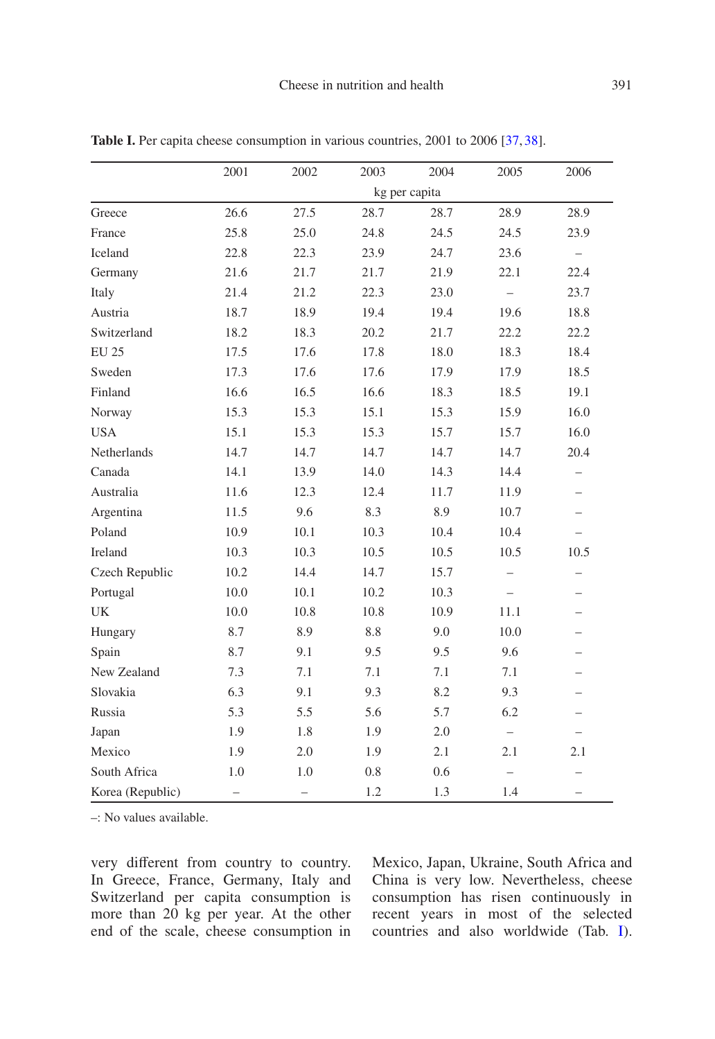|                  | 2001                     | 2002                     | 2003 | 2004 | 2005                     | 2006                     |  |  |
|------------------|--------------------------|--------------------------|------|------|--------------------------|--------------------------|--|--|
|                  | kg per capita            |                          |      |      |                          |                          |  |  |
| Greece           | 26.6                     | 27.5                     | 28.7 | 28.7 | 28.9                     | 28.9                     |  |  |
| France           | 25.8                     | 25.0                     | 24.8 | 24.5 | 24.5                     | 23.9                     |  |  |
| Iceland          | 22.8                     | 22.3                     | 23.9 | 24.7 | 23.6                     | $\overline{\phantom{0}}$ |  |  |
| Germany          | 21.6                     | 21.7                     | 21.7 | 21.9 | 22.1                     | 22.4                     |  |  |
| Italy            | 21.4                     | 21.2                     | 22.3 | 23.0 | $\equiv$                 | 23.7                     |  |  |
| Austria          | 18.7                     | 18.9                     | 19.4 | 19.4 | 19.6                     | 18.8                     |  |  |
| Switzerland      | 18.2                     | 18.3                     | 20.2 | 21.7 | 22.2                     | 22.2                     |  |  |
| <b>EU 25</b>     | 17.5                     | 17.6                     | 17.8 | 18.0 | 18.3                     | 18.4                     |  |  |
| Sweden           | 17.3                     | 17.6                     | 17.6 | 17.9 | 17.9                     | 18.5                     |  |  |
| Finland          | 16.6                     | 16.5                     | 16.6 | 18.3 | 18.5                     | 19.1                     |  |  |
| Norway           | 15.3                     | 15.3                     | 15.1 | 15.3 | 15.9                     | 16.0                     |  |  |
| <b>USA</b>       | 15.1                     | 15.3                     | 15.3 | 15.7 | 15.7                     | 16.0                     |  |  |
| Netherlands      | 14.7                     | 14.7                     | 14.7 | 14.7 | 14.7                     | 20.4                     |  |  |
| Canada           | 14.1                     | 13.9                     | 14.0 | 14.3 | 14.4                     |                          |  |  |
| Australia        | 11.6                     | 12.3                     | 12.4 | 11.7 | 11.9                     |                          |  |  |
| Argentina        | 11.5                     | 9.6                      | 8.3  | 8.9  | 10.7                     | $\overline{\phantom{0}}$ |  |  |
| Poland           | 10.9                     | 10.1                     | 10.3 | 10.4 | 10.4                     | $\overline{\phantom{0}}$ |  |  |
| Ireland          | 10.3                     | 10.3                     | 10.5 | 10.5 | 10.5                     | 10.5                     |  |  |
| Czech Republic   | 10.2                     | 14.4                     | 14.7 | 15.7 | $\overline{\phantom{0}}$ |                          |  |  |
| Portugal         | 10.0                     | 10.1                     | 10.2 | 10.3 |                          | -                        |  |  |
| UK               | 10.0                     | 10.8                     | 10.8 | 10.9 | 11.1                     | $\overline{\phantom{0}}$ |  |  |
| Hungary          | 8.7                      | 8.9                      | 8.8  | 9.0  | 10.0                     | ÷,                       |  |  |
| Spain            | 8.7                      | 9.1                      | 9.5  | 9.5  | 9.6                      | -                        |  |  |
| New Zealand      | 7.3                      | 7.1                      | 7.1  | 7.1  | 7.1                      | -                        |  |  |
| Slovakia         | 6.3                      | 9.1                      | 9.3  | 8.2  | 9.3                      | -                        |  |  |
| Russia           | 5.3                      | 5.5                      | 5.6  | 5.7  | 6.2                      | $\overline{\phantom{0}}$ |  |  |
| Japan            | 1.9                      | 1.8                      | 1.9  | 2.0  | $\equiv$                 | $\equiv$                 |  |  |
| Mexico           | 1.9                      | 2.0                      | 1.9  | 2.1  | 2.1                      | 2.1                      |  |  |
| South Africa     | 1.0                      | 1.0                      | 0.8  | 0.6  |                          |                          |  |  |
| Korea (Republic) | $\overline{\phantom{0}}$ | $\overline{\phantom{0}}$ | 1.2  | 1.3  | 1.4                      |                          |  |  |

<span id="page-2-0"></span>Table I. Per capita cheese consumption in various countries, 2001 to 2006 [\[37,](#page-13-0) [38](#page-13-1)].

–: No values available.

very different from country to country. In Greece, France, Germany, Italy and Switzerland per capita consumption is more than  $20 \text{ kg}$  per year. At the other end of the scale, cheese consumption in

Mexico, Japan, Ukraine, South Africa and China is very low. Nevertheless, cheese consumption has risen continuously in recent years in most of the selected countries and also worldwide (Tab. [I\)](#page-2-0).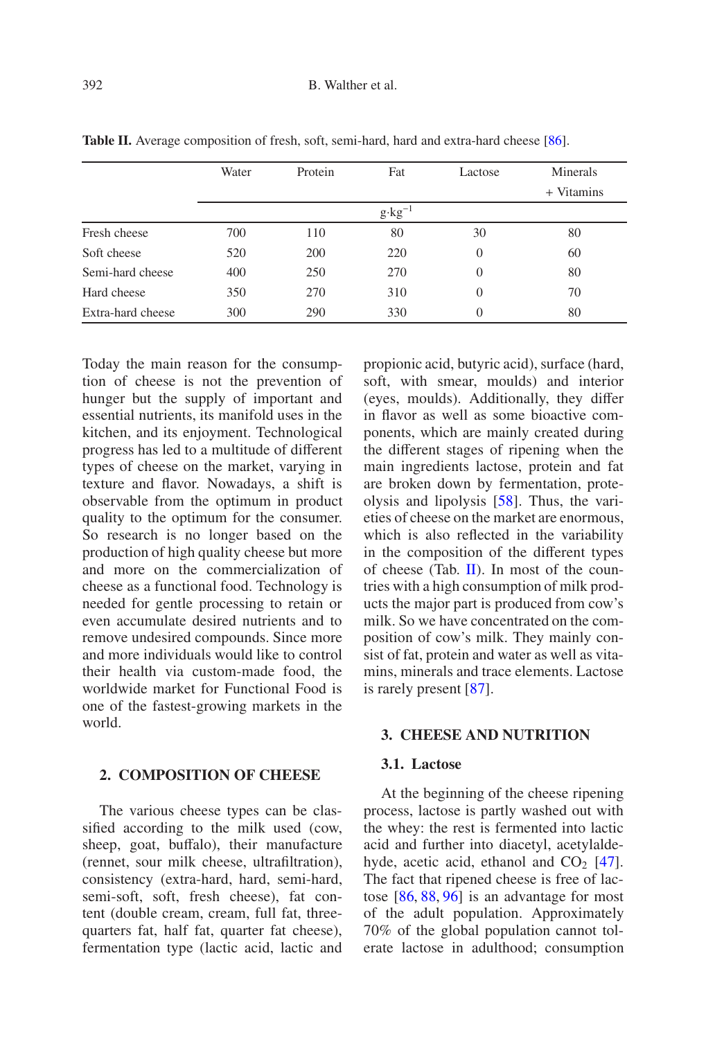|                   | Water | Protein | Fat               | Lactose        | Minerals<br>+ Vitamins |
|-------------------|-------|---------|-------------------|----------------|------------------------|
|                   |       |         | $g \cdot kg^{-1}$ |                |                        |
| Fresh cheese      | 700   | 110     | 80                | 30             | 80                     |
| Soft cheese       | 520   | 200     | 220               | $\overline{0}$ | 60                     |
| Semi-hard cheese  | 400   | 250     | 270               | $\overline{0}$ | 80                     |
| Hard cheese       | 350   | 270     | 310               | $\overline{0}$ | 70                     |
| Extra-hard cheese | 300   | 290     | 330               | $\overline{0}$ | 80                     |

<span id="page-3-0"></span>**Table II.** Average composition of fresh, soft, semi-hard, hard and extra-hard cheese [\[86\]](#page-15-0).

Today the main reason for the consumption of cheese is not the prevention of hunger but the supply of important and essential nutrients, its manifold uses in the kitchen, and its enjoyment. Technological progress has led to a multitude of different types of cheese on the market, varying in texture and flavor. Nowadays, a shift is observable from the optimum in product quality to the optimum for the consumer. So research is no longer based on the production of high quality cheese but more and more on the commercialization of cheese as a functional food. Technology is needed for gentle processing to retain or even accumulate desired nutrients and to remove undesired compounds. Since more and more individuals would like to control their health via custom-made food, the worldwide market for Functional Food is one of the fastest-growing markets in the world.

## **2. COMPOSITION OF CHEESE**

The various cheese types can be classified according to the milk used (cow, sheep, goat, buffalo), their manufacture (rennet, sour milk cheese, ultrafiltration), consistency (extra-hard, hard, semi-hard, semi-soft, soft, fresh cheese), fat content (double cream, cream, full fat, threequarters fat, half fat, quarter fat cheese), fermentation type (lactic acid, lactic and propionic acid, butyric acid), surface (hard, soft, with smear, moulds) and interior (eyes, moulds). Additionally, they differ in flavor as well as some bioactive components, which are mainly created during the different stages of ripening when the main ingredients lactose, protein and fat are broken down by fermentation, proteolysis and lipolysis [\[58](#page-14-0)]. Thus, the varieties of cheese on the market are enormous, which is also reflected in the variability in the composition of the different types of cheese (Tab.  $II$ ). In most of the countries with a high consumption of milk products the major part is produced from cow's milk. So we have concentrated on the composition of cow's milk. They mainly consist of fat, protein and water as well as vitamins, minerals and trace elements. Lactose is rarely present [\[87\]](#page-15-1).

# **3. CHEESE AND NUTRITION**

# **3.1. Lactose**

At the beginning of the cheese ripening process, lactose is partly washed out with the whey: the rest is fermented into lactic acid and further into diacetyl, acetylaldehyde, acetic acid, ethanol and  $CO<sub>2</sub>$  [\[47\]](#page-13-2). The fact that ripened cheese is free of lactose  $[86, 88, 96]$  $[86, 88, 96]$  $[86, 88, 96]$  $[86, 88, 96]$  $[86, 88, 96]$  is an advantage for most of the adult population. Approximately 70% of the global population cannot tolerate lactose in adulthood; consumption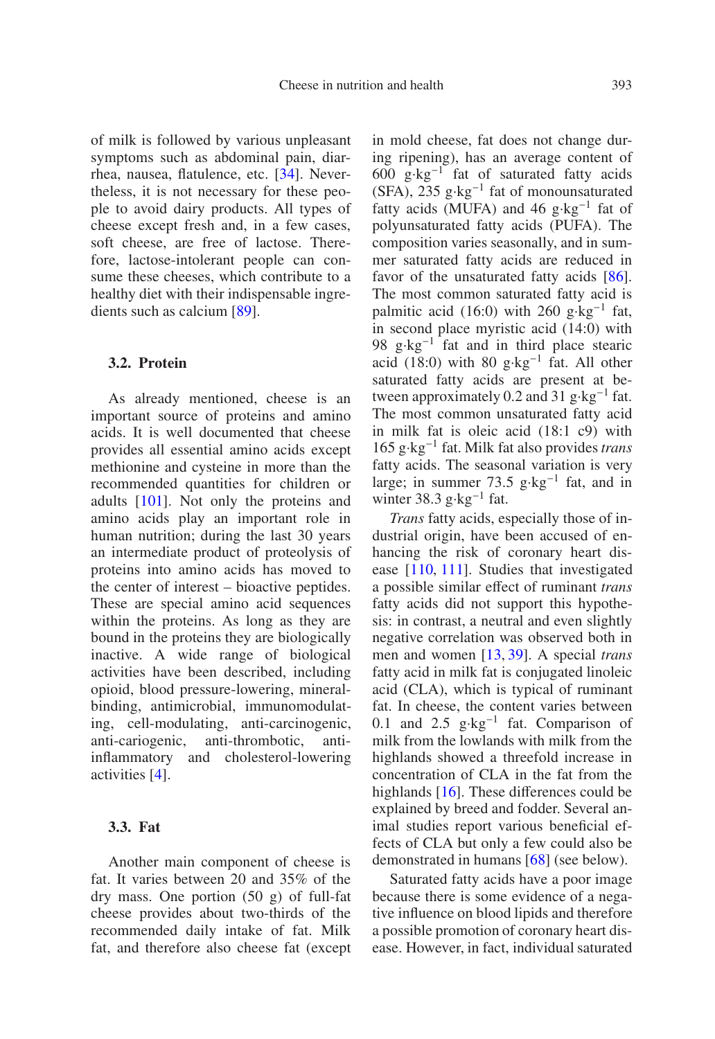of milk is followed by various unpleasant symptoms such as abdominal pain, diarrhea, nausea, flatulence, etc. [\[34\]](#page-13-3). Nevertheless, it is not necessary for these people to avoid dairy products. All types of cheese except fresh and, in a few cases, soft cheese, are free of lactose. Therefore, lactose-intolerant people can consume these cheeses, which contribute to a healthy diet with their indispensable ingredients such as calcium [\[89\]](#page-15-3).

#### **3.2. Protein**

As already mentioned, cheese is an important source of proteins and amino acids. It is well documented that cheese provides all essential amino acids except methionine and cysteine in more than the recommended quantities for children or adults [\[101\]](#page-16-2). Not only the proteins and amino acids play an important role in human nutrition; during the last 30 years an intermediate product of proteolysis of proteins into amino acids has moved to the center of interest – bioactive peptides. These are special amino acid sequences within the proteins. As long as they are bound in the proteins they are biologically inactive. A wide range of biological activities have been described, including opioid, blood pressure-lowering, mineralbinding, antimicrobial, immunomodulating, cell-modulating, anti-carcinogenic, anti-cariogenic, anti-thrombotic, antiinflammatory and cholesterol-lowering activities [\[4](#page-11-0)].

#### **3.3. Fat**

Another main component of cheese is fat. It varies between 20 and 35% of the dry mass. One portion (50 g) of full-fat cheese provides about two-thirds of the recommended daily intake of fat. Milk fat, and therefore also cheese fat (except in mold cheese, fat does not change during ripening), has an average content of 600 g·kg−<sup>1</sup> fat of saturated fatty acids (SFA), 235 g·kg−<sup>1</sup> fat of monounsaturated fatty acids (MUFA) and 46 g⋅kg<sup>-1</sup> fat of polyunsaturated fatty acids (PUFA). The composition varies seasonally, and in summer saturated fatty acids are reduced in favor of the unsaturated fatty acids [\[86\]](#page-15-0). The most common saturated fatty acid is palmitic acid (16:0) with 260 g⋅kg<sup>-1</sup> fat, in second place myristic acid (14:0) with 98 g·kg−<sup>1</sup> fat and in third place stearic acid (18:0) with 80 g·kg<sup>-1</sup> fat. All other saturated fatty acids are present at between approximately 0.2 and 31 g·kg−<sup>1</sup> fat. The most common unsaturated fatty acid in milk fat is oleic acid (18:1 c9) with 165 g·kg−<sup>1</sup> fat. Milk fat also provides*trans* fatty acids. The seasonal variation is very large; in summer  $73.5$  g⋅kg<sup>-1</sup> fat, and in winter 38.3 g⋅kg<sup>-1</sup> fat.

*Trans* fatty acids, especially those of industrial origin, have been accused of enhancing the risk of coronary heart disease [\[110,](#page-16-3) [111\]](#page-16-4). Studies that investigated a possible similar effect of ruminant *trans* fatty acids did not support this hypothesis: in contrast, a neutral and even slightly negative correlation was observed both in men and women [\[13](#page-12-1), [39\]](#page-13-4). A special *trans* fatty acid in milk fat is conjugated linoleic acid (CLA), which is typical of ruminant fat. In cheese, the content varies between 0.1 and 2.5 g·kg−<sup>1</sup> fat. Comparison of milk from the lowlands with milk from the highlands showed a threefold increase in concentration of CLA in the fat from the highlands [\[16\]](#page-12-2). These differences could be explained by breed and fodder. Several animal studies report various beneficial effects of CLA but only a few could also be demonstrated in humans [\[68](#page-14-1)] (see below).

Saturated fatty acids have a poor image because there is some evidence of a negative influence on blood lipids and therefore a possible promotion of coronary heart disease. However, in fact, individual saturated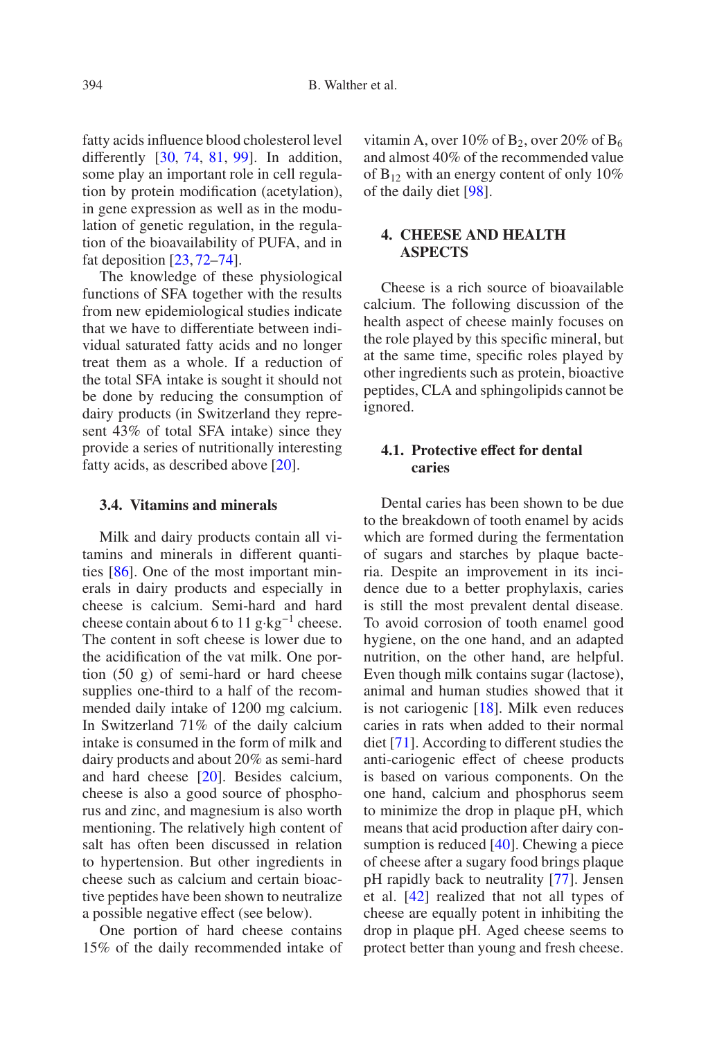fatty acids influence blood cholesterol level differently [\[30,](#page-13-5) [74,](#page-15-4) [81,](#page-15-5) [99\]](#page-16-5). In addition, some play an important role in cell regulation by protein modification (acetylation), in gene expression as well as in the modulation of genetic regulation, in the regulation of the bioavailability of PUFA, and in fat deposition [\[23](#page-12-3), [72](#page-15-6)[–74\]](#page-15-4).

The knowledge of these physiological functions of SFA together with the results from new epidemiological studies indicate that we have to differentiate between individual saturated fatty acids and no longer treat them as a whole. If a reduction of the total SFA intake is sought it should not be done by reducing the consumption of dairy products (in Switzerland they represent 43% of total SFA intake) since they provide a series of nutritionally interesting fatty acids, as described above [\[20\]](#page-12-4).

#### **3.4. Vitamins and minerals**

Milk and dairy products contain all vitamins and minerals in different quantities [\[86](#page-15-0)]. One of the most important minerals in dairy products and especially in cheese is calcium. Semi-hard and hard cheese contain about 6 to 11 g·kg−<sup>1</sup> cheese. The content in soft cheese is lower due to the acidification of the vat milk. One portion (50 g) of semi-hard or hard cheese supplies one-third to a half of the recommended daily intake of 1200 mg calcium. In Switzerland 71% of the daily calcium intake is consumed in the form of milk and dairy products and about 20% as semi-hard and hard cheese [\[20](#page-12-4)]. Besides calcium, cheese is also a good source of phosphorus and zinc, and magnesium is also worth mentioning. The relatively high content of salt has often been discussed in relation to hypertension. But other ingredients in cheese such as calcium and certain bioactive peptides have been shown to neutralize a possible negative effect (see below).

One portion of hard cheese contains 15% of the daily recommended intake of vitamin A, over  $10\%$  of B<sub>2</sub>, over  $20\%$  of B<sub>6</sub> and almost 40% of the recommended value of  $B_{12}$  with an energy content of only 10% of the daily diet [\[98\]](#page-16-6).

# **4. CHEESE AND HEALTH ASPECTS**

Cheese is a rich source of bioavailable calcium. The following discussion of the health aspect of cheese mainly focuses on the role played by this specific mineral, but at the same time, specific roles played by other ingredients such as protein, bioactive peptides, CLA and sphingolipids cannot be ignored.

# **4.1. Protective e**ff**ect for dental caries**

Dental caries has been shown to be due to the breakdown of tooth enamel by acids which are formed during the fermentation of sugars and starches by plaque bacteria. Despite an improvement in its incidence due to a better prophylaxis, caries is still the most prevalent dental disease. To avoid corrosion of tooth enamel good hygiene, on the one hand, and an adapted nutrition, on the other hand, are helpful. Even though milk contains sugar (lactose), animal and human studies showed that it is not cariogenic [\[18](#page-12-5)]. Milk even reduces caries in rats when added to their normal diet [\[71\]](#page-15-7). According to different studies the anti-cariogenic effect of cheese products is based on various components. On the one hand, calcium and phosphorus seem to minimize the drop in plaque pH, which means that acid production after dairy consumption is reduced [\[40\]](#page-13-6). Chewing a piece of cheese after a sugary food brings plaque pH rapidly back to neutrality [\[77\]](#page-15-8). Jensen et al. [\[42\]](#page-13-7) realized that not all types of cheese are equally potent in inhibiting the drop in plaque pH. Aged cheese seems to protect better than young and fresh cheese.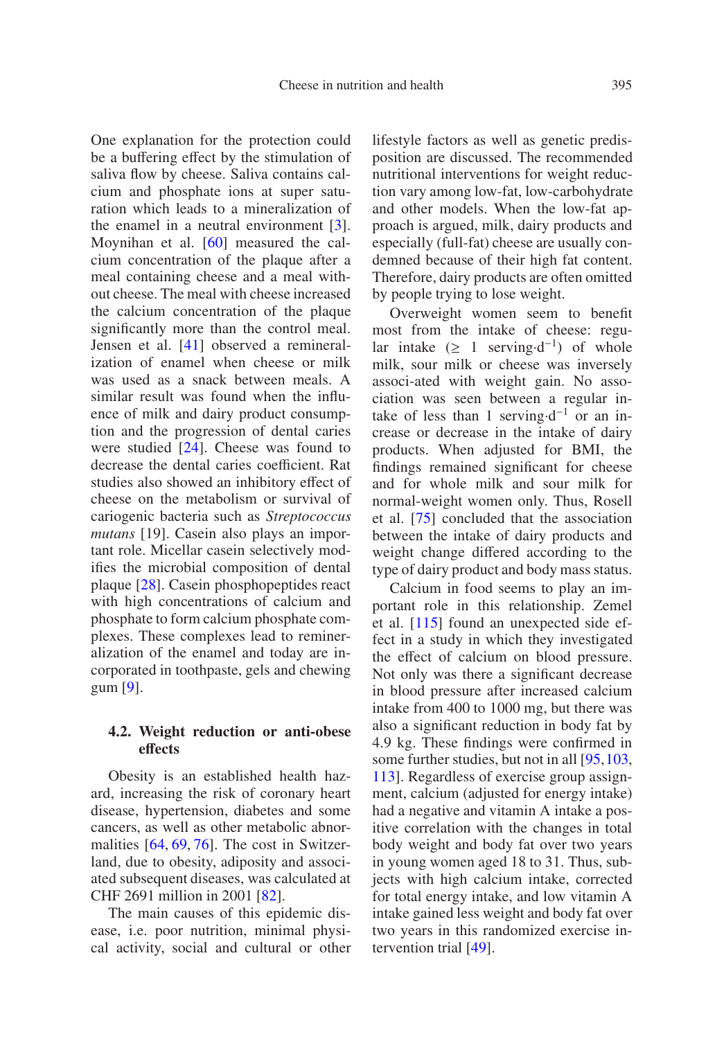One explanation for the protection could be a buffering effect by the stimulation of saliva flow by cheese. Saliva contains calcium and phosphate ions at super saturation which leads to a mineralization of the enamel in a neutral environment [\[3\]](#page-11-1). Moynihan et al. [\[60\]](#page-14-2) measured the calcium concentration of the plaque after a meal containing cheese and a meal without cheese. The meal with cheese increased the calcium concentration of the plaque significantly more than the control meal. Jensen et al. [\[41\]](#page-13-8) observed a remineralization of enamel when cheese or milk was used as a snack between meals. A similar result was found when the influence of milk and dairy product consumption and the progression of dental caries were studied [\[24](#page-12-6)]. Cheese was found to decrease the dental caries coefficient. Rat studies also showed an inhibitory effect of cheese on the metabolism or survival of cariogenic bacteria such as *Streptococcus mutans* [19]. Casein also plays an important role. Micellar casein selectively modifies the microbial composition of dental plaque [\[28](#page-13-9)]. Casein phosphopeptides react with high concentrations of calcium and phosphate to form calcium phosphate complexes. These complexes lead to remineralization of the enamel and today are incorporated in toothpaste, gels and chewing gum [\[9](#page-12-7)].

# **4.2. Weight reduction or anti-obese e**ff**ects**

Obesity is an established health hazard, increasing the risk of coronary heart disease, hypertension, diabetes and some cancers, as well as other metabolic abnor-malities [\[64,](#page-14-3) [69,](#page-14-4) [76\]](#page-15-9). The cost in Switzerland, due to obesity, adiposity and associated subsequent diseases, was calculated at CHF 2691 million in 2001 [\[82](#page-15-10)].

The main causes of this epidemic disease, i.e. poor nutrition, minimal physical activity, social and cultural or other lifestyle factors as well as genetic predisposition are discussed. The recommended nutritional interventions for weight reduction vary among low-fat, low-carbohydrate and other models. When the low-fat approach is argued, milk, dairy products and especially (full-fat) cheese are usually condemned because of their high fat content. Therefore, dairy products are often omitted by people trying to lose weight.

Overweight women seem to benefit most from the intake of cheese: regular intake  $(\geq 1 \text{ serving } d^{-1})$  of whole milk, sour milk or cheese was inversely associ-ated with weight gain. No association was seen between a regular intake of less than 1 serving $\cdot d^{-1}$  or an increase or decrease in the intake of dairy products. When adjusted for BMI, the findings remained significant for cheese and for whole milk and sour milk for normal-weight women only. Thus, Rosell et al. [\[75](#page-15-11)] concluded that the association between the intake of dairy products and weight change differed according to the type of dairy product and body mass status.

Calcium in food seems to play an important role in this relationship. Zemel et al. [\[115\]](#page-16-7) found an unexpected side effect in a study in which they investigated the effect of calcium on blood pressure. Not only was there a significant decrease in blood pressure after increased calcium intake from 400 to 1000 mg, but there was also a significant reduction in body fat by 4.9 kg. These findings were confirmed in some further studies, but not in all [\[95](#page-16-8)[,103,](#page-16-9) [113\]](#page-16-10). Regardless of exercise group assignment, calcium (adjusted for energy intake) had a negative and vitamin A intake a positive correlation with the changes in total body weight and body fat over two years in young women aged 18 to 31. Thus, subjects with high calcium intake, corrected for total energy intake, and low vitamin A intake gained less weight and body fat over two years in this randomized exercise intervention trial [\[49](#page-14-5)].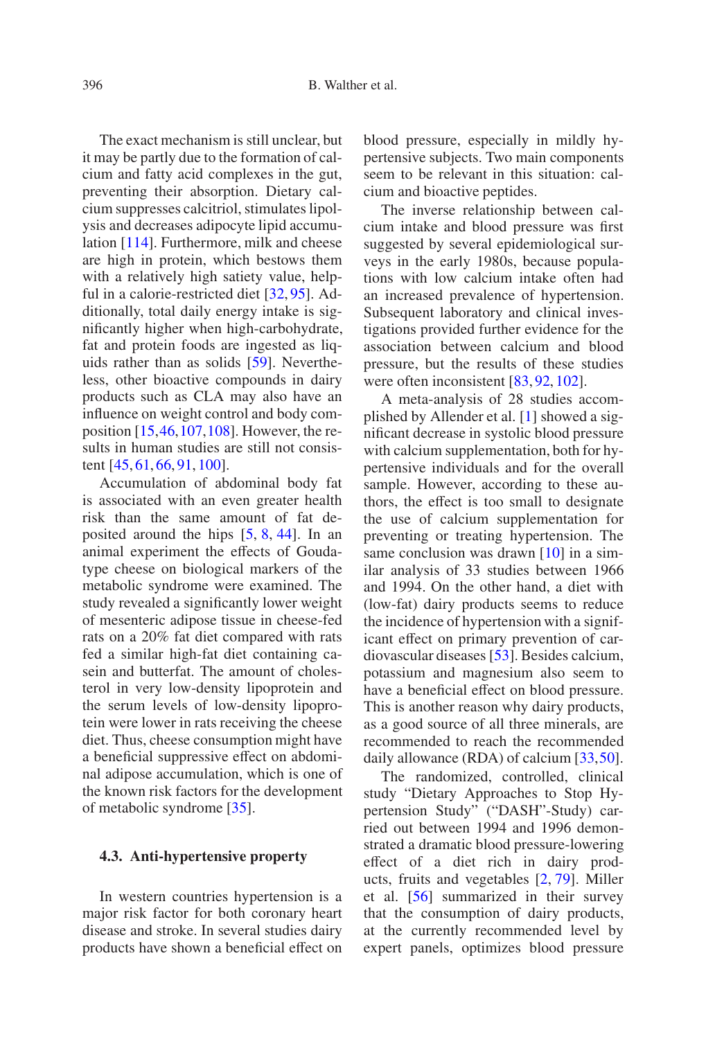The exact mechanism is still unclear, but it may be partly due to the formation of calcium and fatty acid complexes in the gut, preventing their absorption. Dietary calcium suppresses calcitriol, stimulates lipolysis and decreases adipocyte lipid accumulation [\[114](#page-16-11)]. Furthermore, milk and cheese are high in protein, which bestows them with a relatively high satiety value, helpful in a calorie-restricted diet [\[32](#page-13-10), [95\]](#page-16-8). Additionally, total daily energy intake is significantly higher when high-carbohydrate, fat and protein foods are ingested as liquids rather than as solids [\[59\]](#page-14-6). Nevertheless, other bioactive compounds in dairy products such as CLA may also have an influence on weight control and body composition [\[15,](#page-12-8)[46,](#page-13-11)[107,](#page-16-12)[108\]](#page-16-13). However, the results in human studies are still not consistent [\[45,](#page-13-12) [61,](#page-14-7) [66](#page-14-8), [91,](#page-15-12) [100\]](#page-16-14).

Accumulation of abdominal body fat is associated with an even greater health risk than the same amount of fat deposited around the hips [\[5,](#page-12-9) [8](#page-12-10), [44](#page-13-13)]. In an animal experiment the effects of Goudatype cheese on biological markers of the metabolic syndrome were examined. The study revealed a significantly lower weight of mesenteric adipose tissue in cheese-fed rats on a 20% fat diet compared with rats fed a similar high-fat diet containing casein and butterfat. The amount of cholesterol in very low-density lipoprotein and the serum levels of low-density lipoprotein were lower in rats receiving the cheese diet. Thus, cheese consumption might have a beneficial suppressive effect on abdominal adipose accumulation, which is one of the known risk factors for the development of metabolic syndrome [\[35\]](#page-13-14).

#### **4.3. Anti-hypertensive property**

In western countries hypertension is a major risk factor for both coronary heart disease and stroke. In several studies dairy products have shown a beneficial effect on blood pressure, especially in mildly hypertensive subjects. Two main components seem to be relevant in this situation: calcium and bioactive peptides.

The inverse relationship between calcium intake and blood pressure was first suggested by several epidemiological surveys in the early 1980s, because populations with low calcium intake often had an increased prevalence of hypertension. Subsequent laboratory and clinical investigations provided further evidence for the association between calcium and blood pressure, but the results of these studies were often inconsistent [\[83](#page-15-13), [92,](#page-15-14) [102\]](#page-16-15).

A meta-analysis of 28 studies accomplished by Allender et al. [\[1](#page-11-2)] showed a significant decrease in systolic blood pressure with calcium supplementation, both for hypertensive individuals and for the overall sample. However, according to these authors, the effect is too small to designate the use of calcium supplementation for preventing or treating hypertension. The same conclusion was drawn [\[10\]](#page-12-11) in a similar analysis of 33 studies between 1966 and 1994. On the other hand, a diet with (low-fat) dairy products seems to reduce the incidence of hypertension with a significant effect on primary prevention of cardiovascular diseases [\[53\]](#page-14-9). Besides calcium, potassium and magnesium also seem to have a beneficial effect on blood pressure. This is another reason why dairy products, as a good source of all three minerals, are recommended to reach the recommended daily allowance (RDA) of calcium [\[33](#page-13-15)[,50](#page-14-10)].

The randomized, controlled, clinical study "Dietary Approaches to Stop Hypertension Study" ("DASH"-Study) carried out between 1994 and 1996 demonstrated a dramatic blood pressure-lowering effect of a diet rich in dairy products, fruits and vegetables [\[2,](#page-11-3) [79](#page-15-15)]. Miller et al. [\[56](#page-14-11)] summarized in their survey that the consumption of dairy products, at the currently recommended level by expert panels, optimizes blood pressure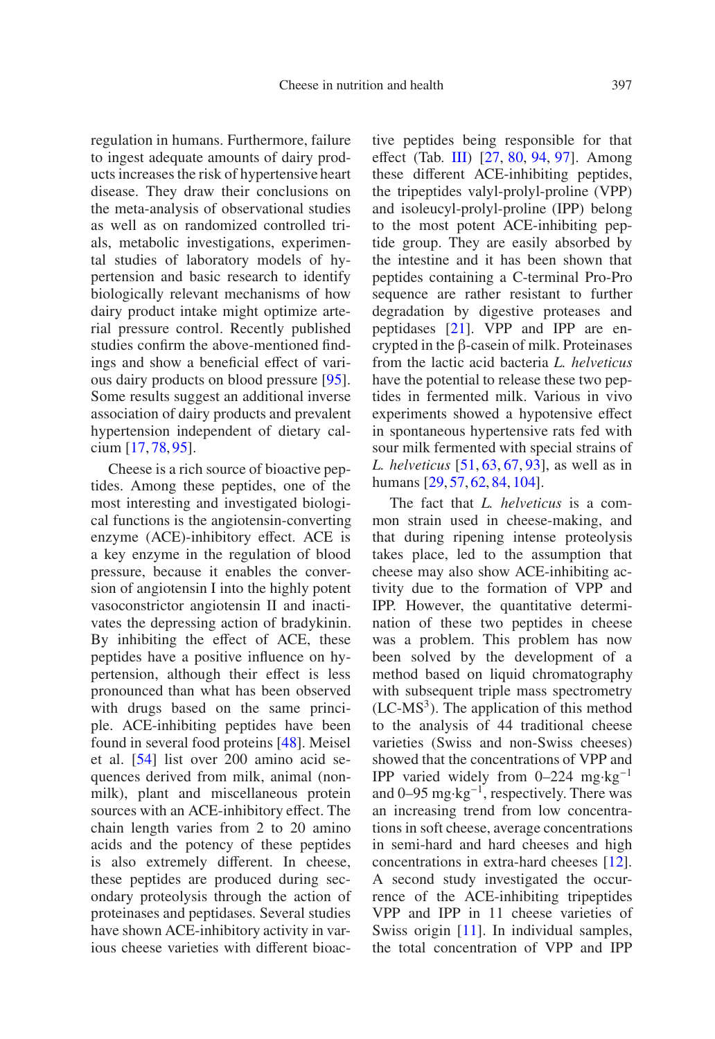regulation in humans. Furthermore, failure to ingest adequate amounts of dairy products increases the risk of hypertensive heart disease. They draw their conclusions on the meta-analysis of observational studies as well as on randomized controlled trials, metabolic investigations, experimental studies of laboratory models of hypertension and basic research to identify biologically relevant mechanisms of how dairy product intake might optimize arterial pressure control. Recently published studies confirm the above-mentioned findings and show a beneficial effect of various dairy products on blood pressure [\[95\]](#page-16-8). Some results suggest an additional inverse association of dairy products and prevalent hypertension independent of dietary calcium [\[17](#page-12-12), [78,](#page-15-16) [95\]](#page-16-8).

Cheese is a rich source of bioactive peptides. Among these peptides, one of the most interesting and investigated biological functions is the angiotensin-converting enzyme (ACE)-inhibitory effect. ACE is a key enzyme in the regulation of blood pressure, because it enables the conversion of angiotensin I into the highly potent vasoconstrictor angiotensin II and inactivates the depressing action of bradykinin. By inhibiting the effect of ACE, these peptides have a positive influence on hypertension, although their effect is less pronounced than what has been observed with drugs based on the same principle. ACE-inhibiting peptides have been found in several food proteins [\[48](#page-13-16)]. Meisel et al. [\[54\]](#page-14-12) list over 200 amino acid sequences derived from milk, animal (nonmilk), plant and miscellaneous protein sources with an ACE-inhibitory effect. The chain length varies from 2 to 20 amino acids and the potency of these peptides is also extremely different. In cheese, these peptides are produced during secondary proteolysis through the action of proteinases and peptidases. Several studies have shown ACE-inhibitory activity in various cheese varieties with different bioactive peptides being responsible for that effect (Tab. [III\)](#page-9-0) [\[27](#page-13-17), [80,](#page-15-17) [94,](#page-16-16) [97](#page-16-17)]. Among these different ACE-inhibiting peptides, the tripeptides valyl-prolyl-proline (VPP) and isoleucyl-prolyl-proline (IPP) belong to the most potent ACE-inhibiting peptide group. They are easily absorbed by the intestine and it has been shown that peptides containing a C-terminal Pro-Pro sequence are rather resistant to further degradation by digestive proteases and peptidases [\[21\]](#page-12-13). VPP and IPP are encrypted in the β-casein of milk. Proteinases from the lactic acid bacteria *L. helveticus* have the potential to release these two peptides in fermented milk. Various in vivo experiments showed a hypotensive effect in spontaneous hypertensive rats fed with sour milk fermented with special strains of *L. helveticus* [\[51](#page-14-13), [63,](#page-14-14) [67,](#page-14-15) [93\]](#page-16-18), as well as in humans [\[29,](#page-13-18) [57](#page-14-16), [62,](#page-14-17) [84,](#page-15-18) [104\]](#page-16-19).

The fact that *L. helveticus* is a common strain used in cheese-making, and that during ripening intense proteolysis takes place, led to the assumption that cheese may also show ACE-inhibiting activity due to the formation of VPP and IPP. However, the quantitative determination of these two peptides in cheese was a problem. This problem has now been solved by the development of a method based on liquid chromatography with subsequent triple mass spectrometry  $(LC-MS<sup>3</sup>)$ . The application of this method to the analysis of 44 traditional cheese varieties (Swiss and non-Swiss cheeses) showed that the concentrations of VPP and IPP varied widely from 0–224 mg·kg−<sup>1</sup> and 0–95 mg·kg−1, respectively. There was an increasing trend from low concentrations in soft cheese, average concentrations in semi-hard and hard cheeses and high concentrations in extra-hard cheeses [\[12\]](#page-12-14). A second study investigated the occurrence of the ACE-inhibiting tripeptides VPP and IPP in 11 cheese varieties of Swiss origin [\[11\]](#page-12-15). In individual samples, the total concentration of VPP and IPP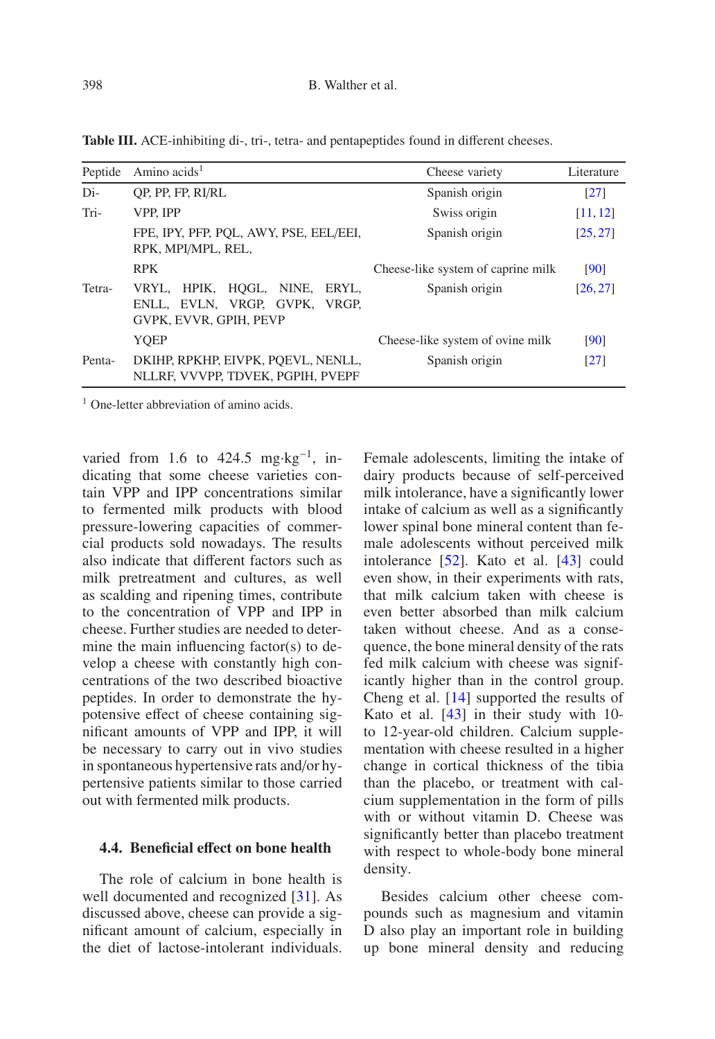| Peptide | Amino acids <sup>1</sup>                                                                 | Cheese variety                     | Literature        |
|---------|------------------------------------------------------------------------------------------|------------------------------------|-------------------|
| Di-     | QP, PP, FP, RI/RL                                                                        | Spanish origin                     | $\left[27\right]$ |
| Tri-    | VPP. IPP                                                                                 | Swiss origin                       | [11, 12]          |
|         | FPE, IPY, PFP, POL, AWY, PSE, EEL/EEI,<br>RPK, MPI/MPL, REL,                             | Spanish origin                     | [25, 27]          |
|         | <b>RPK</b>                                                                               | Cheese-like system of caprine milk | [90]              |
| Tetra-  | VRYL, HPIK, HOGL, NINE, ERYL,<br>ENLL, EVLN, VRGP, GVPK, VRGP,<br>GVPK, EVVR, GPIH, PEVP | Spanish origin                     | [26, 27]          |
|         | YOEP                                                                                     | Cheese-like system of ovine milk   | [90]              |
| Penta-  | DKIHP, RPKHP, EIVPK, POEVL, NENLL,<br>NLLRF, VVVPP, TDVEK, PGPIH, PVEPF                  | Spanish origin                     | [27]              |

<span id="page-9-0"></span>**Table III.** ACE-inhibiting di-, tri-, tetra- and pentapeptides found in different cheeses.

 $<sup>1</sup>$  One-letter abbreviation of amino acids.</sup>

varied from 1.6 to 424.5 mg⋅kg<sup>-1</sup>, indicating that some cheese varieties contain VPP and IPP concentrations similar to fermented milk products with blood pressure-lowering capacities of commercial products sold nowadays. The results also indicate that different factors such as milk pretreatment and cultures, as well as scalding and ripening times, contribute to the concentration of VPP and IPP in cheese. Further studies are needed to determine the main influencing factor(s) to develop a cheese with constantly high concentrations of the two described bioactive peptides. In order to demonstrate the hypotensive effect of cheese containing significant amounts of VPP and IPP, it will be necessary to carry out in vivo studies in spontaneous hypertensive rats and/or hypertensive patients similar to those carried out with fermented milk products.

# **4.4. Beneficial e**ff**ect on bone health**

The role of calcium in bone health is well documented and recognized [\[31\]](#page-13-20). As discussed above, cheese can provide a significant amount of calcium, especially in the diet of lactose-intolerant individuals. Female adolescents, limiting the intake of dairy products because of self-perceived milk intolerance, have a significantly lower intake of calcium as well as a significantly lower spinal bone mineral content than female adolescents without perceived milk intolerance [\[52\]](#page-14-18). Kato et al. [\[43\]](#page-13-21) could even show, in their experiments with rats, that milk calcium taken with cheese is even better absorbed than milk calcium taken without cheese. And as a consequence, the bone mineral density of the rats fed milk calcium with cheese was significantly higher than in the control group. Cheng et al. [\[14\]](#page-12-17) supported the results of Kato et al. [\[43](#page-13-21)] in their study with 10 to 12-year-old children. Calcium supplementation with cheese resulted in a higher change in cortical thickness of the tibia than the placebo, or treatment with calcium supplementation in the form of pills with or without vitamin D. Cheese was significantly better than placebo treatment with respect to whole-body bone mineral density.

Besides calcium other cheese compounds such as magnesium and vitamin D also play an important role in building up bone mineral density and reducing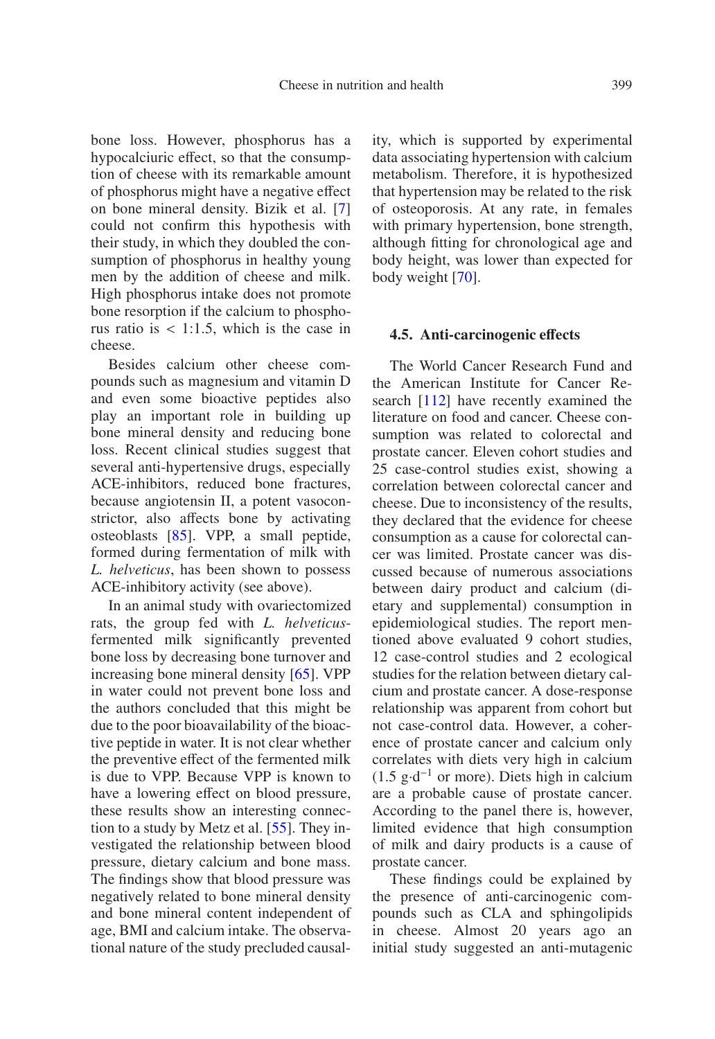bone loss. However, phosphorus has a hypocalciuric effect, so that the consumption of cheese with its remarkable amount of phosphorus might have a negative effect on bone mineral density. Bizik et al. [\[7](#page-12-18)] could not confirm this hypothesis with their study, in which they doubled the consumption of phosphorus in healthy young men by the addition of cheese and milk. High phosphorus intake does not promote bone resorption if the calcium to phosphorus ratio is  $\langle 1:1.5,$  which is the case in cheese.

Besides calcium other cheese compounds such as magnesium and vitamin D and even some bioactive peptides also play an important role in building up bone mineral density and reducing bone loss. Recent clinical studies suggest that several anti-hypertensive drugs, especially ACE-inhibitors, reduced bone fractures, because angiotensin II, a potent vasoconstrictor, also affects bone by activating osteoblasts [\[85\]](#page-15-20). VPP, a small peptide, formed during fermentation of milk with *L. helveticus*, has been shown to possess ACE-inhibitory activity (see above).

In an animal study with ovariectomized rats, the group fed with *L. helveticus*fermented milk significantly prevented bone loss by decreasing bone turnover and increasing bone mineral density [\[65\]](#page-14-19). VPP in water could not prevent bone loss and the authors concluded that this might be due to the poor bioavailability of the bioactive peptide in water. It is not clear whether the preventive effect of the fermented milk is due to VPP. Because VPP is known to have a lowering effect on blood pressure, these results show an interesting connection to a study by Metz et al. [\[55\]](#page-14-20). They investigated the relationship between blood pressure, dietary calcium and bone mass. The findings show that blood pressure was negatively related to bone mineral density and bone mineral content independent of age, BMI and calcium intake. The observational nature of the study precluded causality, which is supported by experimental data associating hypertension with calcium metabolism. Therefore, it is hypothesized that hypertension may be related to the risk of osteoporosis. At any rate, in females with primary hypertension, bone strength, although fitting for chronological age and body height, was lower than expected for body weight [\[70](#page-14-21)].

# **4.5. Anti-carcinogenic e**ff**ects**

The World Cancer Research Fund and the American Institute for Cancer Research [\[112\]](#page-16-20) have recently examined the literature on food and cancer. Cheese consumption was related to colorectal and prostate cancer. Eleven cohort studies and 25 case-control studies exist, showing a correlation between colorectal cancer and cheese. Due to inconsistency of the results, they declared that the evidence for cheese consumption as a cause for colorectal cancer was limited. Prostate cancer was discussed because of numerous associations between dairy product and calcium (dietary and supplemental) consumption in epidemiological studies. The report mentioned above evaluated 9 cohort studies, 12 case-control studies and 2 ecological studies for the relation between dietary calcium and prostate cancer. A dose-response relationship was apparent from cohort but not case-control data. However, a coherence of prostate cancer and calcium only correlates with diets very high in calcium (1.5 g⋅d<sup>-1</sup> or more). Diets high in calcium are a probable cause of prostate cancer. According to the panel there is, however, limited evidence that high consumption of milk and dairy products is a cause of prostate cancer.

These findings could be explained by the presence of anti-carcinogenic compounds such as CLA and sphingolipids in cheese. Almost 20 years ago an initial study suggested an anti-mutagenic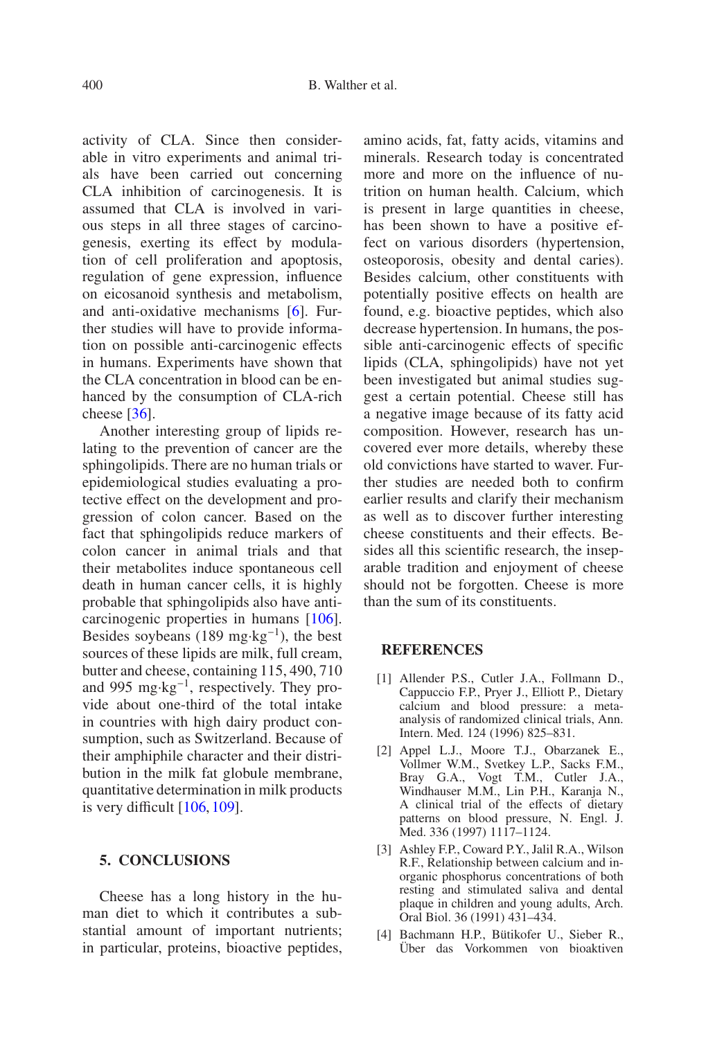activity of CLA. Since then considerable in vitro experiments and animal trials have been carried out concerning CLA inhibition of carcinogenesis. It is assumed that CLA is involved in various steps in all three stages of carcinogenesis, exerting its effect by modulation of cell proliferation and apoptosis, regulation of gene expression, influence on eicosanoid synthesis and metabolism, and anti-oxidative mechanisms [\[6](#page-12-19)]. Further studies will have to provide information on possible anti-carcinogenic effects in humans. Experiments have shown that the CLA concentration in blood can be enhanced by the consumption of CLA-rich cheese [\[36](#page-13-22)].

Another interesting group of lipids relating to the prevention of cancer are the sphingolipids. There are no human trials or epidemiological studies evaluating a protective effect on the development and progression of colon cancer. Based on the fact that sphingolipids reduce markers of colon cancer in animal trials and that their metabolites induce spontaneous cell death in human cancer cells, it is highly probable that sphingolipids also have anticarcinogenic properties in humans [\[106](#page-16-21)]. Besides soybeans (189 mg·kg−1), the best sources of these lipids are milk, full cream, butter and cheese, containing 115, 490, 710 and 995 mg·kg−<sup>1</sup> , respectively. They provide about one-third of the total intake in countries with high dairy product consumption, such as Switzerland. Because of their amphiphile character and their distribution in the milk fat globule membrane, quantitative determination in milk products is very difficult [\[106,](#page-16-21) [109\]](#page-16-22).

## **5. CONCLUSIONS**

Cheese has a long history in the human diet to which it contributes a substantial amount of important nutrients; in particular, proteins, bioactive peptides, amino acids, fat, fatty acids, vitamins and minerals. Research today is concentrated more and more on the influence of nutrition on human health. Calcium, which is present in large quantities in cheese, has been shown to have a positive effect on various disorders (hypertension, osteoporosis, obesity and dental caries). Besides calcium, other constituents with potentially positive effects on health are found, e.g. bioactive peptides, which also decrease hypertension. In humans, the possible anti-carcinogenic effects of specific lipids (CLA, sphingolipids) have not yet been investigated but animal studies suggest a certain potential. Cheese still has a negative image because of its fatty acid composition. However, research has uncovered ever more details, whereby these old convictions have started to waver. Further studies are needed both to confirm earlier results and clarify their mechanism as well as to discover further interesting cheese constituents and their effects. Besides all this scientific research, the inseparable tradition and enjoyment of cheese should not be forgotten. Cheese is more than the sum of its constituents.

# **REFERENCES**

- <span id="page-11-2"></span>[1] Allender P.S., Cutler J.A., Follmann D., Cappuccio F.P., Pryer J., Elliott P., Dietary calcium and blood pressure: a metaanalysis of randomized clinical trials, Ann. Intern. Med. 124 (1996) 825–831.
- <span id="page-11-3"></span>[2] Appel L.J., Moore T.J., Obarzanek E., Vollmer W.M., Svetkey L.P., Sacks F.M., Bray G.A., Vogt T.M., Cutler J.A., Windhauser M.M., Lin P.H., Karanja N., A clinical trial of the effects of dietary patterns on blood pressure, N. Engl. J. Med. 336 (1997) 1117–1124.
- <span id="page-11-1"></span>[3] Ashley F.P., Coward P.Y., Jalil R.A., Wilson R.F., Relationship between calcium and inorganic phosphorus concentrations of both resting and stimulated saliva and dental plaque in children and young adults, Arch. Oral Biol. 36 (1991) 431–434.
- <span id="page-11-0"></span>[4] Bachmann H.P., Bütikofer U., Sieber R., Über das Vorkommen von bioaktiven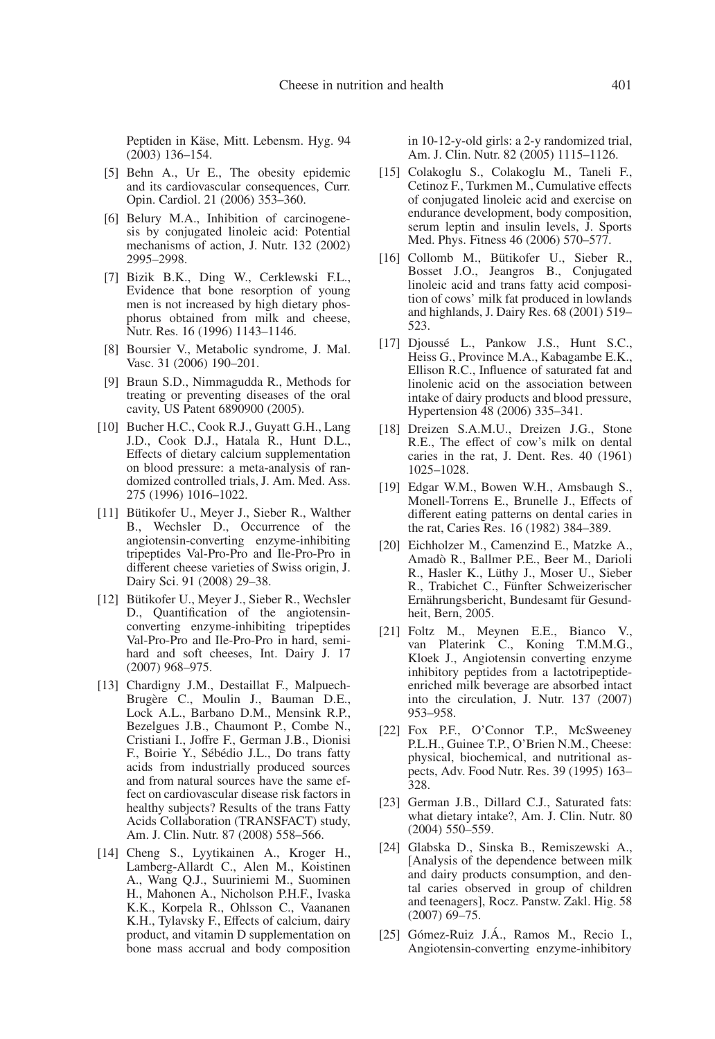Peptiden in Käse, Mitt. Lebensm. Hyg. 94 (2003) 136–154.

- <span id="page-12-9"></span>[5] Behn A., Ur E., The obesity epidemic and its cardiovascular consequences, Curr. Opin. Cardiol. 21 (2006) 353–360.
- <span id="page-12-19"></span>[6] Belury M.A., Inhibition of carcinogenesis by conjugated linoleic acid: Potential mechanisms of action, J. Nutr. 132 (2002) 2995–2998.
- <span id="page-12-18"></span>[7] Bizik B.K., Ding W., Cerklewski F.L., Evidence that bone resorption of young men is not increased by high dietary phosphorus obtained from milk and cheese, Nutr. Res. 16 (1996) 1143–1146.
- <span id="page-12-10"></span>[8] Boursier V., Metabolic syndrome, J. Mal. Vasc. 31 (2006) 190–201.
- <span id="page-12-7"></span>[9] Braun S.D., Nimmagudda R., Methods for treating or preventing diseases of the oral cavity, US Patent 6890900 (2005).
- <span id="page-12-11"></span>[10] Bucher H.C., Cook R.J., Guyatt G.H., Lang J.D., Cook D.J., Hatala R., Hunt D.L., Effects of dietary calcium supplementation on blood pressure: a meta-analysis of randomized controlled trials, J. Am. Med. Ass. 275 (1996) 1016–1022.
- <span id="page-12-15"></span>[11] Bütikofer U., Meyer J., Sieber R., Walther B., Wechsler D., Occurrence of the angiotensin-converting enzyme-inhibiting tripeptides Val-Pro-Pro and Ile-Pro-Pro in different cheese varieties of Swiss origin, J. Dairy Sci. 91 (2008) 29–38.
- <span id="page-12-14"></span>[12] Bütikofer U., Meyer J., Sieber R., Wechsler D., Quantification of the angiotensinconverting enzyme-inhibiting tripeptides Val-Pro-Pro and Ile-Pro-Pro in hard, semihard and soft cheeses, Int. Dairy J. 17 (2007) 968–975.
- <span id="page-12-1"></span>[13] Chardigny J.M., Destaillat F., Malpuech-Brugère C., Moulin J., Bauman D.E., Lock A.L., Barbano D.M., Mensink R.P., Bezelgues J.B., Chaumont P., Combe N., Cristiani I., Joffre F., German J.B., Dionisi F., Boirie Y., Sébédio J.L., Do trans fatty acids from industrially produced sources and from natural sources have the same effect on cardiovascular disease risk factors in healthy subjects? Results of the trans Fatty Acids Collaboration (TRANSFACT) study, Am. J. Clin. Nutr. 87 (2008) 558–566.
- <span id="page-12-17"></span>[14] Cheng S., Lyytikainen A., Kroger H., Lamberg-Allardt C., Alen M., Koistinen A., Wang Q.J., Suuriniemi M., Suominen H., Mahonen A., Nicholson P.H.F., Ivaska K.K., Korpela R., Ohlsson C., Vaananen K.H., Tylavsky F., Effects of calcium, dairy product, and vitamin D supplementation on bone mass accrual and body composition

in 10-12-y-old girls: a 2-y randomized trial, Am. J. Clin. Nutr. 82 (2005) 1115–1126.

- <span id="page-12-8"></span>[15] Colakoglu S., Colakoglu M., Taneli F., Cetinoz F., Turkmen M., Cumulative effects of conjugated linoleic acid and exercise on endurance development, body composition, serum leptin and insulin levels, J. Sports Med. Phys. Fitness 46 (2006) 570–577.
- <span id="page-12-2"></span>[16] Collomb M., Bütikofer U., Sieber R., Bosset J.O., Jeangros B., Conjugated linoleic acid and trans fatty acid composition of cows' milk fat produced in lowlands and highlands, J. Dairy Res. 68 (2001) 519– 523.
- <span id="page-12-12"></span>[17] Djoussé L., Pankow J.S., Hunt S.C., Heiss G., Province M.A., Kabagambe E.K., Ellison R.C., Influence of saturated fat and linolenic acid on the association between intake of dairy products and blood pressure, Hypertension 48 (2006) 335–341.
- <span id="page-12-5"></span>[18] Dreizen S.A.M.U., Dreizen J.G., Stone R.E., The effect of cow's milk on dental caries in the rat, J. Dent. Res. 40 (1961) 1025–1028.
- [19] Edgar W.M., Bowen W.H., Amsbaugh S., Monell-Torrens E., Brunelle J., Effects of different eating patterns on dental caries in the rat, Caries Res. 16 (1982) 384–389.
- <span id="page-12-4"></span>[20] Eichholzer M., Camenzind E., Matzke A., Amadò R., Ballmer P.E., Beer M., Darioli R., Hasler K., Lüthy J., Moser U., Sieber R., Trabichet C., Fünfter Schweizerischer Ernährungsbericht, Bundesamt für Gesundheit, Bern, 2005.
- <span id="page-12-13"></span>[21] Foltz M., Meynen E.E., Bianco V., van Platerink C., Koning T.M.M.G., Kloek J., Angiotensin converting enzyme inhibitory peptides from a lactotripeptideenriched milk beverage are absorbed intact into the circulation, J. Nutr. 137 (2007) 953–958.
- <span id="page-12-0"></span>[22] Fox P.F., O'Connor T.P., McSweeney P.L.H., Guinee T.P., O'Brien N.M., Cheese: physical, biochemical, and nutritional aspects, Adv. Food Nutr. Res. 39 (1995) 163– 328.
- <span id="page-12-3"></span>[23] German J.B., Dillard C.J., Saturated fats: what dietary intake?, Am. J. Clin. Nutr. 80 (2004) 550–559.
- <span id="page-12-6"></span>[24] Glabska D., Sinska B., Remiszewski A., [Analysis of the dependence between milk and dairy products consumption, and dental caries observed in group of children and teenagers], Rocz. Panstw. Zakl. Hig. 58 (2007) 69–75.
- <span id="page-12-16"></span>[25] Gómez-Ruiz J.Á., Ramos M., Recio I., Angiotensin-converting enzyme-inhibitory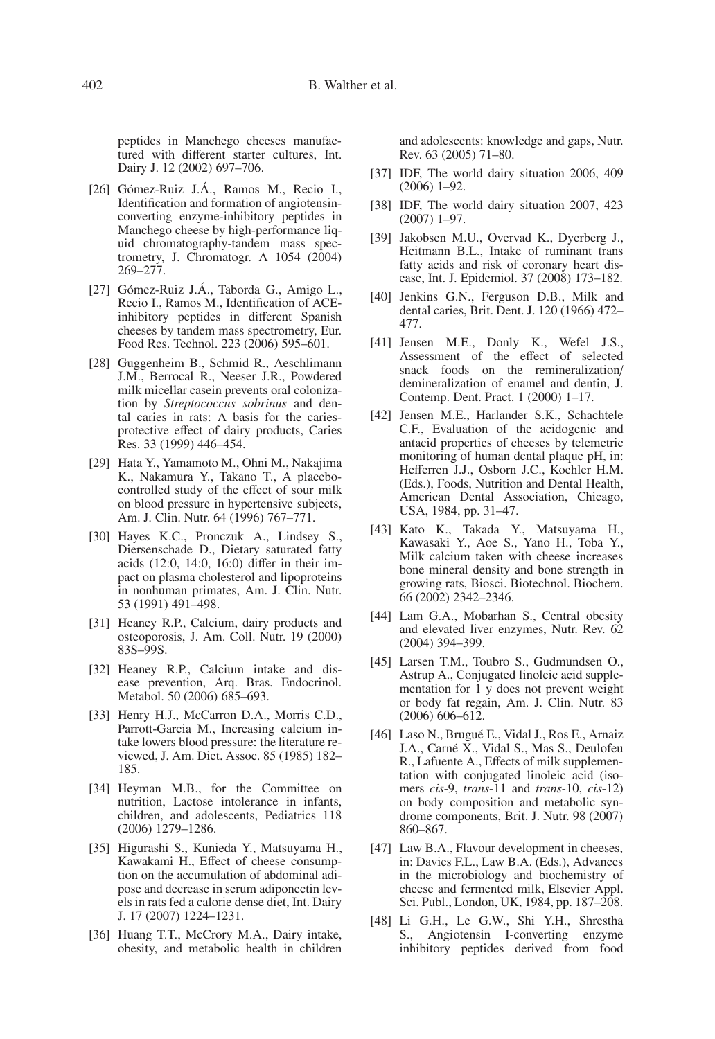peptides in Manchego cheeses manufactured with different starter cultures, Int. Dairy J. 12 (2002) 697–706.

- <span id="page-13-19"></span>[26] Gómez-Ruiz J.Á., Ramos M., Recio I., Identification and formation of angiotensinconverting enzyme-inhibitory peptides in Manchego cheese by high-performance liquid chromatography-tandem mass spectrometry, J. Chromatogr. A 1054 (2004) 269–277.
- <span id="page-13-17"></span>[27] Gómez-Ruiz J.Á., Taborda G., Amigo L., Recio I., Ramos M., Identification of ACEinhibitory peptides in different Spanish cheeses by tandem mass spectrometry, Eur. Food Res. Technol. 223 (2006) 595–601.
- <span id="page-13-9"></span>[28] Guggenheim B., Schmid R., Aeschlimann J.M., Berrocal R., Neeser J.R., Powdered milk micellar casein prevents oral colonization by *Streptococcus sobrinus* and dental caries in rats: A basis for the cariesprotective effect of dairy products, Caries Res. 33 (1999) 446–454.
- <span id="page-13-18"></span>[29] Hata Y., Yamamoto M., Ohni M., Nakajima K., Nakamura Y., Takano T., A placebocontrolled study of the effect of sour milk on blood pressure in hypertensive subjects, Am. J. Clin. Nutr. 64 (1996) 767–771.
- <span id="page-13-5"></span>[30] Hayes K.C., Pronczuk A., Lindsey S., Diersenschade D., Dietary saturated fatty acids (12:0, 14:0, 16:0) differ in their impact on plasma cholesterol and lipoproteins in nonhuman primates, Am. J. Clin. Nutr. 53 (1991) 491–498.
- <span id="page-13-20"></span>[31] Heaney R.P., Calcium, dairy products and osteoporosis, J. Am. Coll. Nutr. 19 (2000) 83S–99S.
- <span id="page-13-10"></span>[32] Heaney R.P., Calcium intake and disease prevention, Arq. Bras. Endocrinol. Metabol. 50 (2006) 685–693.
- <span id="page-13-15"></span>[33] Henry H.J., McCarron D.A., Morris C.D., Parrott-Garcia M., Increasing calcium intake lowers blood pressure: the literature reviewed, J. Am. Diet. Assoc. 85 (1985) 182– 185.
- <span id="page-13-3"></span>[34] Heyman M.B., for the Committee on nutrition, Lactose intolerance in infants, children, and adolescents, Pediatrics 118 (2006) 1279–1286.
- <span id="page-13-14"></span>[35] Higurashi S., Kunieda Y., Matsuyama H., Kawakami H., Effect of cheese consumption on the accumulation of abdominal adipose and decrease in serum adiponectin levels in rats fed a calorie dense diet, Int. Dairy J. 17 (2007) 1224–1231.
- <span id="page-13-22"></span>[36] Huang T.T., McCrory M.A., Dairy intake, obesity, and metabolic health in children

and adolescents: knowledge and gaps, Nutr. Rev. 63 (2005) 71–80.

- <span id="page-13-0"></span>[37] IDF, The world dairy situation 2006, 409 (2006) 1–92.
- <span id="page-13-1"></span>[38] IDF, The world dairy situation 2007, 423 (2007) 1–97.
- <span id="page-13-4"></span>[39] Jakobsen M.U., Overvad K., Dyerberg J., Heitmann B.L., Intake of ruminant trans fatty acids and risk of coronary heart disease, Int. J. Epidemiol. 37 (2008) 173–182.
- <span id="page-13-6"></span>[40] Jenkins G.N., Ferguson D.B., Milk and dental caries, Brit. Dent. J. 120 (1966) 472– 477.
- <span id="page-13-8"></span>[41] Jensen M.E., Donly K., Wefel J.S., Assessment of the effect of selected snack foods on the remineralization/ demineralization of enamel and dentin, J. Contemp. Dent. Pract. 1 (2000) 1–17.
- <span id="page-13-7"></span>[42] Jensen M.E., Harlander S.K., Schachtele C.F., Evaluation of the acidogenic and antacid properties of cheeses by telemetric monitoring of human dental plaque pH, in: Hefferren J.J., Osborn J.C., Koehler H.M. (Eds.), Foods, Nutrition and Dental Health, American Dental Association, Chicago, USA, 1984, pp. 31–47.
- <span id="page-13-21"></span>[43] Kato K., Takada Y., Matsuyama H., Kawasaki Y., Aoe S., Yano H., Toba Y., Milk calcium taken with cheese increases bone mineral density and bone strength in growing rats, Biosci. Biotechnol. Biochem. 66 (2002) 2342–2346.
- <span id="page-13-13"></span>[44] Lam G.A., Mobarhan S., Central obesity and elevated liver enzymes, Nutr. Rev. 62 (2004) 394–399.
- <span id="page-13-12"></span>[45] Larsen T.M., Toubro S., Gudmundsen O., Astrup A., Conjugated linoleic acid supplementation for 1 y does not prevent weight or body fat regain, Am. J. Clin. Nutr. 83 (2006) 606–612.
- <span id="page-13-11"></span>[46] Laso N., Brugué E., Vidal J., Ros E., Arnaiz J.A., Carné X., Vidal S., Mas S., Deulofeu R., Lafuente A., Effects of milk supplementation with conjugated linoleic acid (isomers *cis*-9, *trans*-11 and *trans*-10, *cis*-12) on body composition and metabolic syndrome components, Brit. J. Nutr. 98 (2007) 860–867.
- <span id="page-13-2"></span>[47] Law B.A., Flavour development in cheeses, in: Davies F.L., Law B.A. (Eds.), Advances in the microbiology and biochemistry of cheese and fermented milk, Elsevier Appl. Sci. Publ., London, UK, 1984, pp. 187–208.
- <span id="page-13-16"></span>[48] Li G.H., Le G.W., Shi Y.H., Shrestha S., Angiotensin I-converting enzyme inhibitory peptides derived from food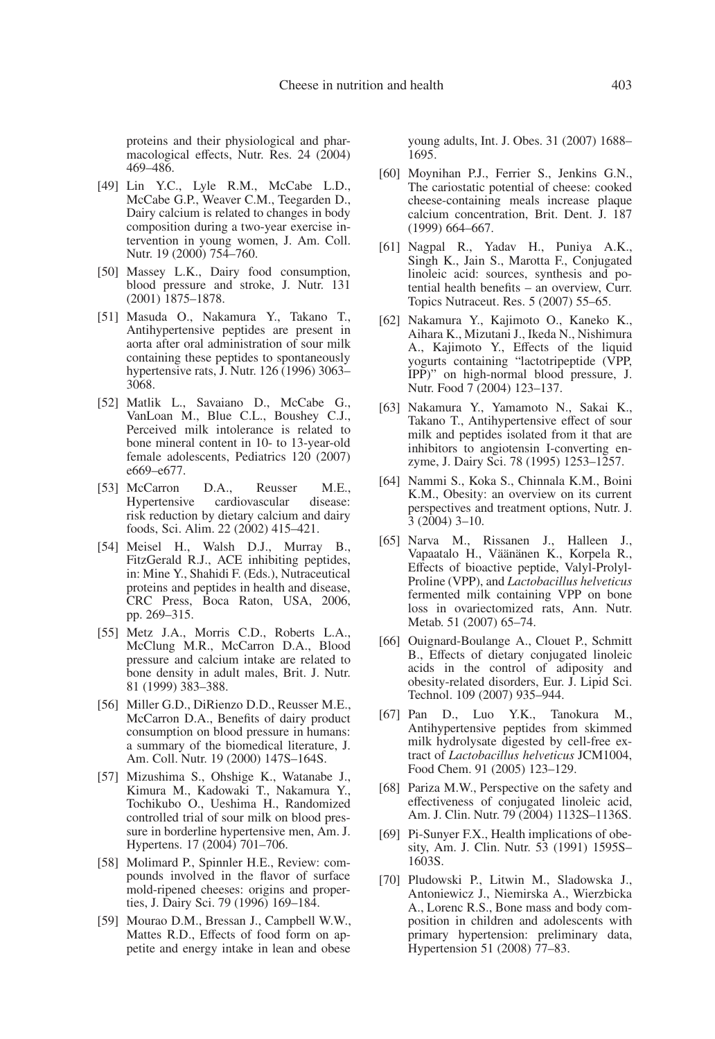proteins and their physiological and pharmacological effects, Nutr. Res. 24 (2004) 469–486.

- <span id="page-14-5"></span>[49] Lin Y.C., Lyle R.M., McCabe L.D., McCabe G.P., Weaver C.M., Teegarden D., Dairy calcium is related to changes in body composition during a two-year exercise intervention in young women, J. Am. Coll. Nutr. 19 (2000) 754–760.
- <span id="page-14-10"></span>[50] Massey L.K., Dairy food consumption, blood pressure and stroke, J. Nutr. 131 (2001) 1875–1878.
- <span id="page-14-13"></span>[51] Masuda O., Nakamura Y., Takano T., Antihypertensive peptides are present in aorta after oral administration of sour milk containing these peptides to spontaneously hypertensive rats, J. Nutr. 126 (1996) 3063– 3068.
- <span id="page-14-18"></span>[52] Matlik L., Savaiano D., McCabe G., VanLoan M., Blue C.L., Boushey C.J., Perceived milk intolerance is related to bone mineral content in 10- to 13-year-old female adolescents, Pediatrics 120 (2007) e669–e677.
- <span id="page-14-9"></span>[53] McCarron D.A., Reusser M.E., Hypertensive cardiovascular risk reduction by dietary calcium and dairy foods, Sci. Alim. 22 (2002) 415–421.
- <span id="page-14-12"></span>[54] Meisel H., Walsh D.J., Murray B., FitzGerald R.J., ACE inhibiting peptides, in: Mine Y., Shahidi F. (Eds.), Nutraceutical proteins and peptides in health and disease, CRC Press, Boca Raton, USA, 2006, pp. 269–315.
- <span id="page-14-20"></span>[55] Metz J.A., Morris C.D., Roberts L.A., McClung M.R., McCarron D.A., Blood pressure and calcium intake are related to bone density in adult males, Brit. J. Nutr. 81 (1999) 383–388.
- <span id="page-14-11"></span>[56] Miller G.D., DiRienzo D.D., Reusser M.E., McCarron D.A., Benefits of dairy product consumption on blood pressure in humans: a summary of the biomedical literature, J. Am. Coll. Nutr. 19 (2000) 147S–164S.
- <span id="page-14-16"></span>[57] Mizushima S., Ohshige K., Watanabe J., Kimura M., Kadowaki T., Nakamura Y., Tochikubo O., Ueshima H., Randomized controlled trial of sour milk on blood pressure in borderline hypertensive men, Am. J. Hypertens. 17 (2004) 701–706.
- <span id="page-14-0"></span>[58] Molimard P., Spinnler H.E., Review: compounds involved in the flavor of surface mold-ripened cheeses: origins and properties, J. Dairy Sci. 79 (1996) 169–184.
- <span id="page-14-6"></span>[59] Mourao D.M., Bressan J., Campbell W.W., Mattes R.D., Effects of food form on appetite and energy intake in lean and obese

young adults, Int. J. Obes. 31 (2007) 1688– 1695.

- <span id="page-14-2"></span>[60] Moynihan P.J., Ferrier S., Jenkins G.N., The cariostatic potential of cheese: cooked cheese-containing meals increase plaque calcium concentration, Brit. Dent. J. 187 (1999) 664–667.
- <span id="page-14-7"></span>[61] Nagpal R., Yadav H., Puniya A.K., Singh K., Jain S., Marotta F., Conjugated linoleic acid: sources, synthesis and potential health benefits – an overview, Curr. Topics Nutraceut. Res. 5 (2007) 55–65.
- <span id="page-14-17"></span>[62] Nakamura Y., Kajimoto O., Kaneko K., Aihara K., Mizutani J., Ikeda N., Nishimura A., Kajimoto Y., Effects of the liquid yogurts containing "lactotripeptide (VPP, IPP)" on high-normal blood pressure, J. Nutr. Food 7 (2004) 123–137.
- <span id="page-14-14"></span>[63] Nakamura Y., Yamamoto N., Sakai K., Takano T., Antihypertensive effect of sour milk and peptides isolated from it that are inhibitors to angiotensin I-converting enzyme, J. Dairy Sci. 78 (1995) 1253–1257.
- <span id="page-14-3"></span>[64] Nammi S., Koka S., Chinnala K.M., Boini K.M., Obesity: an overview on its current perspectives and treatment options, Nutr. J.  $3(2004)$  3-10.
- <span id="page-14-19"></span>[65] Narva M., Rissanen J., Halleen J., Vapaatalo H., Väänänen K., Korpela R., Effects of bioactive peptide, Valyl-Prolyl-Proline (VPP), and *Lactobacillus helveticus* fermented milk containing VPP on bone loss in ovariectomized rats, Ann. Nutr. Metab. 51 (2007) 65–74.
- <span id="page-14-8"></span>[66] Ouignard-Boulange A., Clouet P., Schmitt B., Effects of dietary conjugated linoleic acids in the control of adiposity and obesity-related disorders, Eur. J. Lipid Sci. Technol. 109 (2007) 935–944.
- <span id="page-14-15"></span>[67] Pan D., Luo Y.K., Tanokura M., Antihypertensive peptides from skimmed milk hydrolysate digested by cell-free extract of *Lactobacillus helveticus* JCM1004, Food Chem. 91 (2005) 123–129.
- <span id="page-14-1"></span>[68] Pariza M.W., Perspective on the safety and effectiveness of conjugated linoleic acid, Am. J. Clin. Nutr. 79 (2004) 1132S–1136S.
- <span id="page-14-4"></span>[69] Pi-Sunyer F.X., Health implications of obesity, Am. J. Clin. Nutr. 53 (1991) 1595S– 1603S.
- <span id="page-14-21"></span>[70] Pludowski P., Litwin M., Sladowska J., Antoniewicz J., Niemirska A., Wierzbicka A., Lorenc R.S., Bone mass and body composition in children and adolescents with primary hypertension: preliminary data, Hypertension 51 (2008) 77–83.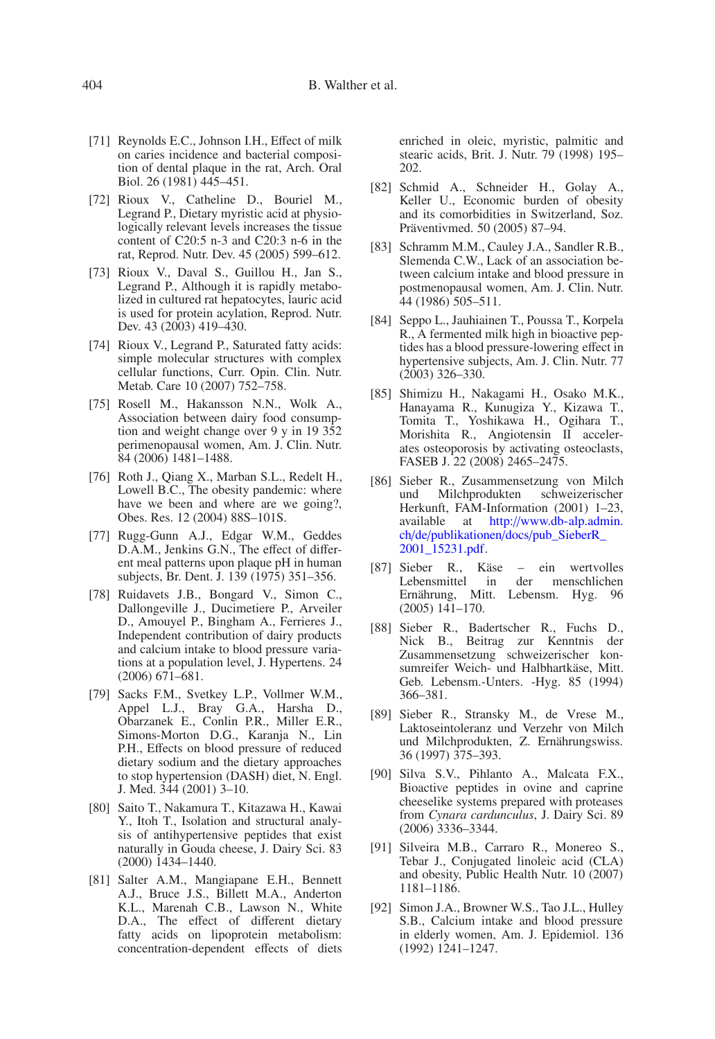- <span id="page-15-7"></span>[71] Reynolds E.C., Johnson I.H., Effect of milk on caries incidence and bacterial composition of dental plaque in the rat, Arch. Oral Biol. 26 (1981) 445–451.
- <span id="page-15-6"></span>[72] Rioux V., Catheline D., Bouriel M., Legrand P., Dietary myristic acid at physiologically relevant levels increases the tissue content of C20:5 n-3 and C20:3 n-6 in the rat, Reprod. Nutr. Dev. 45 (2005) 599–612.
- [73] Rioux V., Daval S., Guillou H., Jan S., Legrand P., Although it is rapidly metabolized in cultured rat hepatocytes, lauric acid is used for protein acylation, Reprod. Nutr. Dev. 43 (2003) 419–430.
- <span id="page-15-4"></span>[74] Rioux V., Legrand P., Saturated fatty acids: simple molecular structures with complex cellular functions, Curr. Opin. Clin. Nutr. Metab. Care 10 (2007) 752–758.
- <span id="page-15-11"></span>[75] Rosell M., Hakansson N.N., Wolk A., Association between dairy food consumption and weight change over 9 y in 19 352 perimenopausal women, Am. J. Clin. Nutr. 84 (2006) 1481–1488.
- <span id="page-15-9"></span>[76] Roth J., Qiang X., Marban S.L., Redelt H., Lowell B.C., The obesity pandemic: where have we been and where are we going?, Obes. Res. 12 (2004) 88S–101S.
- <span id="page-15-8"></span>[77] Rugg-Gunn A.J., Edgar W.M., Geddes D.A.M., Jenkins G.N., The effect of different meal patterns upon plaque pH in human subjects, Br. Dent. J. 139 (1975) 351–356.
- <span id="page-15-16"></span>[78] Ruidavets J.B., Bongard V., Simon C., Dallongeville J., Ducimetiere P., Arveiler D., Amouyel P., Bingham A., Ferrieres J., Independent contribution of dairy products and calcium intake to blood pressure variations at a population level, J. Hypertens. 24 (2006) 671–681.
- <span id="page-15-15"></span>[79] Sacks F.M., Svetkey L.P., Vollmer W.M., Appel L.J., Bray G.A., Harsha D., Obarzanek E., Conlin P.R., Miller E.R., Simons-Morton D.G., Karanja N., Lin P.H., Effects on blood pressure of reduced dietary sodium and the dietary approaches to stop hypertension (DASH) diet, N. Engl. J. Med. 344 (2001) 3–10.
- <span id="page-15-17"></span>[80] Saito T., Nakamura T., Kitazawa H., Kawai Y., Itoh T., Isolation and structural analysis of antihypertensive peptides that exist naturally in Gouda cheese, J. Dairy Sci. 83 (2000) 1434–1440.
- <span id="page-15-5"></span>[81] Salter A.M., Mangiapane E.H., Bennett A.J., Bruce J.S., Billett M.A., Anderton K.L., Marenah C.B., Lawson N., White D.A., The effect of different dietary fatty acids on lipoprotein metabolism: concentration-dependent effects of diets

enriched in oleic, myristic, palmitic and stearic acids, Brit. J. Nutr. 79 (1998) 195– 202.

- <span id="page-15-10"></span>[82] Schmid A., Schneider H., Golay A., Keller U., Economic burden of obesity and its comorbidities in Switzerland, Soz. Präventivmed. 50 (2005) 87–94.
- <span id="page-15-13"></span>[83] Schramm M.M., Cauley J.A., Sandler R.B., Slemenda C.W., Lack of an association between calcium intake and blood pressure in postmenopausal women, Am. J. Clin. Nutr. 44 (1986) 505–511.
- <span id="page-15-18"></span>[84] Seppo L., Jauhiainen T., Poussa T., Korpela R., A fermented milk high in bioactive peptides has a blood pressure-lowering effect in hypertensive subjects, Am. J. Clin. Nutr. 77 (2003) 326–330.
- <span id="page-15-20"></span>[85] Shimizu H., Nakagami H., Osako M.K., Hanayama R., Kunugiza Y., Kizawa T., Tomita T., Yoshikawa H., Ogihara T., Morishita R., Angiotensin II accelerates osteoporosis by activating osteoclasts, FASEB J. 22 (2008) 2465–2475.
- <span id="page-15-0"></span>[86] Sieber R., Zusammensetzung von Milch und Milchprodukten schweizerischer Herkunft, FAM-Information (2001) 1–23, available at http://[www.db-alp.admin.](http://www.db-alp.admin.ch/de/publikationen/docs/pub_SieberR_2001_15231.pdf) ch/de/publikationen/docs/[pub\\_SieberR\\_](http://www.db-alp.admin.ch/de/publikationen/docs/pub_SieberR_2001_15231.pdf) [2001\\_15231.pdf.](http://www.db-alp.admin.ch/de/publikationen/docs/pub_SieberR_2001_15231.pdf)
- <span id="page-15-1"></span>[87] Sieber R., Käse – ein wertvolles der menschlichen Ernährung, Mitt. Lebensm. Hyg. 96 (2005) 141–170.
- <span id="page-15-2"></span>[88] Sieber R., Badertscher R., Fuchs D., Nick B., Beitrag zur Kenntnis der Zusammensetzung schweizerischer konsumreifer Weich- und Halbhartkäse, Mitt. Geb. Lebensm.-Unters. -Hyg. 85 (1994) 366–381.
- <span id="page-15-3"></span>[89] Sieber R., Stransky M., de Vrese M., Laktoseintoleranz und Verzehr von Milch und Milchprodukten, Z. Ernährungswiss. 36 (1997) 375–393.
- <span id="page-15-19"></span>[90] Silva S.V., Pihlanto A., Malcata F.X., Bioactive peptides in ovine and caprine cheeselike systems prepared with proteases from *Cynara cardunculus*, J. Dairy Sci. 89 (2006) 3336–3344.
- <span id="page-15-12"></span>[91] Silveira M.B., Carraro R., Monereo S., Tebar J., Conjugated linoleic acid (CLA) and obesity, Public Health Nutr. 10 (2007) 1181–1186.
- <span id="page-15-14"></span>[92] Simon J.A., Browner W.S., Tao J.L., Hulley S.B., Calcium intake and blood pressure in elderly women, Am. J. Epidemiol. 136 (1992) 1241–1247.